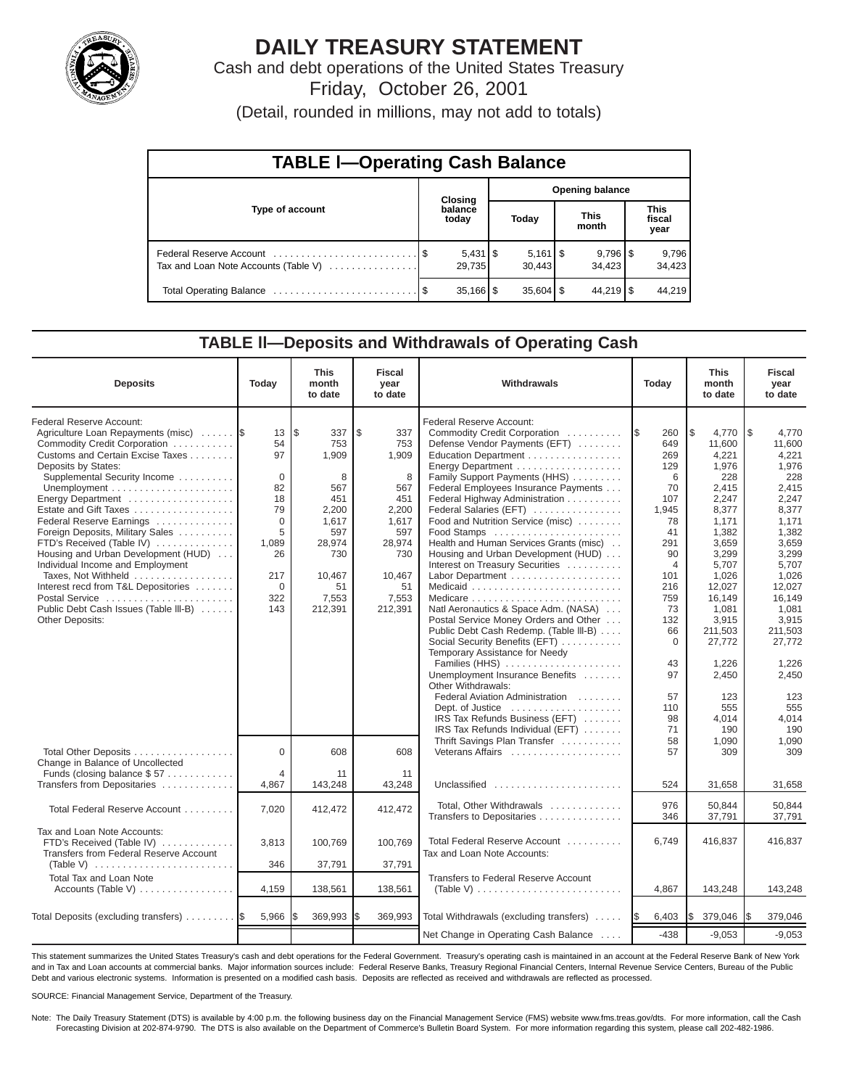

# **DAILY TREASURY STATEMENT**

Cash and debt operations of the United States Treasury Friday, October 26, 2001

(Detail, rounded in millions, may not add to totals)

| <b>TABLE I-Operating Cash Balance</b> |  |                        |                        |                                 |  |                                 |  |                               |  |
|---------------------------------------|--|------------------------|------------------------|---------------------------------|--|---------------------------------|--|-------------------------------|--|
|                                       |  | <b>Closing</b>         | <b>Opening balance</b> |                                 |  |                                 |  |                               |  |
| Type of account                       |  | balance<br>today       |                        | Today                           |  | <b>This</b><br>month            |  | <b>This</b><br>fiscal<br>year |  |
| Tax and Loan Note Accounts (Table V)  |  | 29,735                 |                        | $5,161$ $\frac{1}{3}$<br>30.443 |  | $9,796$ $\frac{8}{3}$<br>34.423 |  | 9,796<br>34,423               |  |
|                                       |  | $35,166$ $\frac{1}{3}$ |                        | $35,604$ $\frac{8}{3}$          |  | $44,219$ $\sqrt{5}$             |  | 44,219                        |  |

## **TABLE ll—Deposits and Withdrawals of Operating Cash**

| <b>Deposits</b>                                                                                                                                                                                                                                                                                                                                                                                                                                                                                                                                             | Today                                                                                                               | <b>This</b><br>month<br>to date                                                                                             | <b>Fiscal</b><br>year<br>to date                                                                                           | Withdrawals                                                                                                                                                                                                                                                                                                                                                                                                                                                                                                                                                                                                                                                                                                                                                                                                                                                                                                     | Today                                                                                                                                                                                                   | <b>This</b><br>month<br>to date                                                                                                                                                                                                                      | <b>Fiscal</b><br>year<br>to date                                                                                                                                                                                                                     |
|-------------------------------------------------------------------------------------------------------------------------------------------------------------------------------------------------------------------------------------------------------------------------------------------------------------------------------------------------------------------------------------------------------------------------------------------------------------------------------------------------------------------------------------------------------------|---------------------------------------------------------------------------------------------------------------------|-----------------------------------------------------------------------------------------------------------------------------|----------------------------------------------------------------------------------------------------------------------------|-----------------------------------------------------------------------------------------------------------------------------------------------------------------------------------------------------------------------------------------------------------------------------------------------------------------------------------------------------------------------------------------------------------------------------------------------------------------------------------------------------------------------------------------------------------------------------------------------------------------------------------------------------------------------------------------------------------------------------------------------------------------------------------------------------------------------------------------------------------------------------------------------------------------|---------------------------------------------------------------------------------------------------------------------------------------------------------------------------------------------------------|------------------------------------------------------------------------------------------------------------------------------------------------------------------------------------------------------------------------------------------------------|------------------------------------------------------------------------------------------------------------------------------------------------------------------------------------------------------------------------------------------------------|
| Federal Reserve Account:<br>Agriculture Loan Repayments (misc)<br>Commodity Credit Corporation<br>Customs and Certain Excise Taxes<br>Deposits by States:<br>Supplemental Security Income<br>Energy Department<br>Estate and Gift Taxes<br>Federal Reserve Earnings<br>Foreign Deposits, Military Sales<br>FTD's Received (Table IV)<br>Housing and Urban Development (HUD)<br>Individual Income and Employment<br>Taxes, Not Withheld<br>Interest recd from T&L Depositories<br>Postal Service<br>Public Debt Cash Issues (Table III-B)<br>Other Deposits: | 13<br>54<br>97<br>$\mathbf 0$<br>82<br>18<br>79<br>$\Omega$<br>5<br>1,089<br>26<br>217<br>$\mathbf 0$<br>322<br>143 | l\$<br>337<br>753<br>1,909<br>8<br>567<br>451<br>2,200<br>1,617<br>597<br>28,974<br>730<br>10,467<br>51<br>7,553<br>212,391 | \$<br>337<br>753<br>1,909<br>8<br>567<br>451<br>2,200<br>1,617<br>597<br>28,974<br>730<br>10,467<br>51<br>7,553<br>212,391 | Federal Reserve Account:<br>Commodity Credit Corporation<br>Defense Vendor Payments (EFT)<br>Education Department<br>Energy Department<br>Family Support Payments (HHS)<br>Federal Employees Insurance Payments<br>Federal Highway Administration<br>Federal Salaries (EFT)<br>Food and Nutrition Service (misc)<br>Food Stamps<br>Health and Human Services Grants (misc)<br>Housing and Urban Development (HUD)<br>Interest on Treasury Securities<br>Labor Department<br>Natl Aeronautics & Space Adm. (NASA)<br>Postal Service Money Orders and Other<br>Public Debt Cash Redemp. (Table III-B)<br>Social Security Benefits (EFT)<br>Temporary Assistance for Needy<br>Families (HHS)<br>Unemployment Insurance Benefits<br>Other Withdrawals:<br>Federal Aviation Administration<br>Dept. of Justice<br>IRS Tax Refunds Business (EFT)<br>IRS Tax Refunds Individual (EFT)<br>Thrift Savings Plan Transfer | 260<br>1\$<br>649<br>269<br>129<br>6<br>70<br>107<br>1,945<br>78<br>41<br>291<br>90<br>$\overline{4}$<br>101<br>216<br>759<br>73<br>132<br>66<br>$\mathbf 0$<br>43<br>97<br>57<br>110<br>98<br>71<br>58 | l\$<br>4,770<br>11,600<br>4,221<br>1,976<br>228<br>2,415<br>2,247<br>8,377<br>1,171<br>1,382<br>3,659<br>3,299<br>5,707<br>1,026<br>12,027<br>16,149<br>1,081<br>3,915<br>211,503<br>27,772<br>1.226<br>2,450<br>123<br>555<br>4.014<br>190<br>1,090 | 1\$<br>4,770<br>11,600<br>4,221<br>1,976<br>228<br>2,415<br>2,247<br>8,377<br>1,171<br>1,382<br>3,659<br>3,299<br>5,707<br>1,026<br>12,027<br>16,149<br>1,081<br>3,915<br>211,503<br>27.772<br>1,226<br>2,450<br>123<br>555<br>4.014<br>190<br>1,090 |
| Total Other Deposits<br>Change in Balance of Uncollected<br>Funds (closing balance \$57                                                                                                                                                                                                                                                                                                                                                                                                                                                                     | $\Omega$<br>$\overline{4}$                                                                                          | 608<br>11                                                                                                                   | 608<br>11                                                                                                                  | Veterans Affairs                                                                                                                                                                                                                                                                                                                                                                                                                                                                                                                                                                                                                                                                                                                                                                                                                                                                                                | 57                                                                                                                                                                                                      | 309                                                                                                                                                                                                                                                  | 309                                                                                                                                                                                                                                                  |
| Transfers from Depositaries<br>Total Federal Reserve Account                                                                                                                                                                                                                                                                                                                                                                                                                                                                                                | 4,867<br>7,020                                                                                                      | 143,248<br>412,472                                                                                                          | 43,248<br>412,472                                                                                                          | Unclassified<br>Total, Other Withdrawals<br>Transfers to Depositaries                                                                                                                                                                                                                                                                                                                                                                                                                                                                                                                                                                                                                                                                                                                                                                                                                                           | 524<br>976<br>346                                                                                                                                                                                       | 31,658<br>50.844<br>37,791                                                                                                                                                                                                                           | 31,658<br>50.844<br>37,791                                                                                                                                                                                                                           |
| Tax and Loan Note Accounts:<br>FTD's Received (Table IV)<br>Transfers from Federal Reserve Account<br>(Table V) $\ldots \ldots \ldots \ldots \ldots \ldots \ldots \ldots$                                                                                                                                                                                                                                                                                                                                                                                   | 3,813<br>346                                                                                                        | 100,769<br>37,791                                                                                                           | 100,769<br>37,791                                                                                                          | Total Federal Reserve Account<br>Tax and Loan Note Accounts:                                                                                                                                                                                                                                                                                                                                                                                                                                                                                                                                                                                                                                                                                                                                                                                                                                                    | 6,749                                                                                                                                                                                                   | 416,837                                                                                                                                                                                                                                              | 416,837                                                                                                                                                                                                                                              |
| <b>Total Tax and Loan Note</b><br>Accounts (Table V)                                                                                                                                                                                                                                                                                                                                                                                                                                                                                                        | 4,159                                                                                                               | 138,561                                                                                                                     | 138,561                                                                                                                    | Transfers to Federal Reserve Account                                                                                                                                                                                                                                                                                                                                                                                                                                                                                                                                                                                                                                                                                                                                                                                                                                                                            | 4,867                                                                                                                                                                                                   | 143,248                                                                                                                                                                                                                                              | 143,248                                                                                                                                                                                                                                              |
| Total Deposits (excluding transfers)                                                                                                                                                                                                                                                                                                                                                                                                                                                                                                                        | 5,966                                                                                                               | 369,993                                                                                                                     | 369,993                                                                                                                    | Total Withdrawals (excluding transfers)                                                                                                                                                                                                                                                                                                                                                                                                                                                                                                                                                                                                                                                                                                                                                                                                                                                                         | 6,403<br>I\$                                                                                                                                                                                            | I\$<br>379,046                                                                                                                                                                                                                                       | 379,046<br>I\$                                                                                                                                                                                                                                       |
|                                                                                                                                                                                                                                                                                                                                                                                                                                                                                                                                                             |                                                                                                                     |                                                                                                                             |                                                                                                                            | Net Change in Operating Cash Balance                                                                                                                                                                                                                                                                                                                                                                                                                                                                                                                                                                                                                                                                                                                                                                                                                                                                            | $-438$                                                                                                                                                                                                  | $-9,053$                                                                                                                                                                                                                                             | $-9,053$                                                                                                                                                                                                                                             |

This statement summarizes the United States Treasury's cash and debt operations for the Federal Government. Treasury's operating cash is maintained in an account at the Federal Reserve Bank of New York and in Tax and Loan accounts at commercial banks. Major information sources include: Federal Reserve Banks, Treasury Regional Financial Centers, Internal Revenue Service Centers, Bureau of the Public Debt and various electronic systems. Information is presented on a modified cash basis. Deposits are reflected as received and withdrawals are reflected as processed.

SOURCE: Financial Management Service, Department of the Treasury.

Note: The Daily Treasury Statement (DTS) is available by 4:00 p.m. the following business day on the Financial Management Service (FMS) website www.fms.treas.gov/dts. For more information, call the Cash Forecasting Division at 202-874-9790. The DTS is also available on the Department of Commerce's Bulletin Board System. For more information regarding this system, please call 202-482-1986.